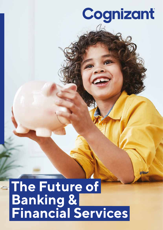# Cognizant

**The Future of Banking & Financial Services**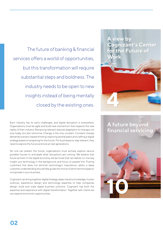The future of banking & financial services offers a world of opportunities, but this transformation will require substantial steps and boldness. The industry needs to be open to new insights instead of being mentally closed by the existing ones.

Each industry has its owns challenges, and digital disruption is everywhere. Organizations must be agile and build new momentum that respects the new reality of their industry. Remaining relevant requires adaptation to changes not only today, but also tomorrow. Change is the only constant. Constant change demands scenario-based thinking, exploring several paths and crafting a digital strategy based on preparing for the future. For businesses to stay relevant, they need to explore the future and look at next generations.

No one can predict the future; organizations must actively explore various possible futures to anticipate what disruptions are coming. We believe that future winners in the digital economy will be those that can deliver on one key insight: put technology in the background, and focus on people first. Putting customers first does not diminish technology's importance; rather, a deep customer understanding should help guide the choice of which technologies to incorporate in your business.

Cognizant can bring together digital strategy, deep industry knowledge, human sciences, experience design and technology expertise to help companies design, build and scale digital business solutions. Cognizant has both the expertise and experience with digital transformation. Together with clients we can explore tomorrow's opportunities.

**A view by Cognizant's Center for the Future of Work**



**A future beyond financial servicing**

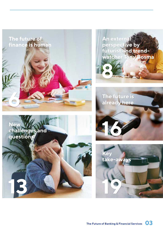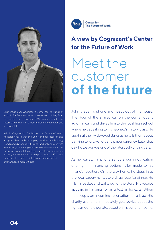

Euan Davis leads Cognizant's Center for the Future of Work in EMEA. A respected speaker and thinker, Euan has guided many Fortune 500 companies into the future of work with his thought provoking research and advisory skills.

Within Cognizant's Center for the Future of Work, he helps ensure that the unit's original research and analysis jibes with emerging business-technology trends and dynamics in Europe, and collaborates with a wide range of leading thinkers to understand how the future of work will look. Previously, Euan held senior analyst, advisory and leadership positions at Forrester Research, IDC and CEB. Euan can be reached at: Euan.Davis@cognizant.com

**Center for** The Future of Work

### **A view by Cognizant's Center for the Future of Work**

# Meet the customer **of the future**

John grabs his phone and heads out of the house. The door of the shared car on the corner opens automatically and drives him to the local high school where he's speaking to his nephew's history class. He laughs at their wide-eyed stares as he tells them about banking tellers, wallets and paper currency. Later that day, he test-drives one of the latest self-driving cars.

As he leaves, his phone sends a push notification offering him financing options tailor made to his financial position. On the way home, he stops in at the local super-market to pick up food for dinner. He fills his basket and walks out of the store. His receipt appears in his email or as a text as he exits. When he accepts an incoming reservation for a black-tie charity event, he immediately gets advice about the right amount to donate, based on his current income.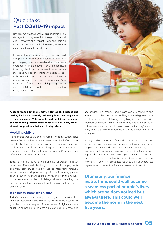### Quick take **Post COVID-19 impact**

Banks came into the coronavirus pandemic much stronger than they went into the global financial crisis, however the impact from the coming economic decline could still severely stress the majority of the banking industry.

However, there is a silver lining, this crisis could well prove to be the push needed for banks to pull the plug on wide scale digital rollouts. From chatbots to pre-emptive highly personalised financing, banks will now need to utilise an increasing number of digital technologies to cope with demand, boost revenues and deal with a remote workforce. The banking customer of 2025 will expect a fully personalised digital experience and the COVID crisis could well be the catalyst to make that happen.



**A scene from a futuristic movie? Not at all. Fintechs and leading banks are currently rethinking how they bring value to their consumers. This example could well be an indication of what banking and financial services will look like by 2025 – at least, for providers that want to stay relevant.**

### **Avoiding oblivion**

It's no secret that banks and financial services institutions have taken a few major hits in recent years, from the 2008 financial crisis to the hacking of numerous banks, customer data over the last two years. Banks are working to regain customer trust and remain relevant for the future. But "relevant" will look quite different five or 10 years from now.

Today, banks are using a multi-channel approach to reach customers. From web banking to mobile phone payments, and from self-service kiosks to videoconferencing, financial institutions are striving to keep up with the increasing pace of change. But more changes are coming, and with the number of brick-and-mortar bank buildings already dwindling, it's becoming clear that the most relevant banks of the future won't be banks at all.

### **A cashless, bank-less future**

Today's consumers are looking to simplify and streamline their financial interactions, and banks that serve these desires will gain their trust and respect. The influence of digital natives is enlightening people to the possibilities of mobile transactions,

and services like WeChat and AmazonGo are capturing the attention of millennials on the go. They love the high-tech, nohassle convenience of having everything in one place, with seamless connection to their finances. They love having as much of their lives stored in their phones as possible. And they're not so crazy about that bulky wallet messing up the silhouette of their skinny jeans.

It only makes sense for financial institutions to focus on technology, partnerships and services that make finance as simple, convenient and streamlined as it can be. Already this is playing out, with incumbent banks partnering with fintechs to drive improved customer service. An example is Santander partnering with Ripple to develop a blockchain-enabled payment system. How far will it go? Think of cashless societies, think boundary-less payments, and preemptive finance when we most need it.

**Ultimately, our finance institutions could well become a seamless part of people's lives, which are seldom noticed but always there. This could well become the norm in the next five years.**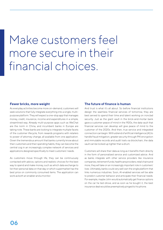## Make customers feel more secure in their financial choices.

### **Fewer bricks, more weight**

As everyday activities become more on-demand, customers will seek solutions that fully integrate everything into a single, multipurpose platform. They will expect a one-stop app that manages money, credit, insurance, income and expenditures in a simple, streamlined way. Already multi-purpose apps such as WeChat are the norm in China, and incumbent banks in Europe are taking note. These banks are looking to integrate multiple facets of the customer lifecycle, from rewards programs with retailers to power of attorney change, all available from one application. Given the tremendous amount that banks currently know about their customers and their spending habits, they can become the central cog in an increasingly complex network of services and applications designed specifically to meet customers' needs.

As customers move through life, they can be continuously contacted with advice, options and realistic choices for the best way to spend and make money, such as which data exchange to list their personal data on that day or which supermarket has the best price on commonly consumed items. The application can work as both an enabler and a monitor.

### **The future of finance is human**

And trust is what it's all about. So before financial institutions design the seamless financial services of tomorrow, they are best served to spend their time and talent working on ironclad security. Just as the giant vault in the brick-and-mortar bank gave a customer peace of mind in the 1920s, the data vault that financial services can develop will give peace of mind to the customer of the 2020s. And then, true service and integrated connection can begin. With a blend of artificial intelligence (AI) to handle fraud mitigation, greater security through PKI encryption and immutable records and audit trails via blockchain, the data vault can be locked up tighter than a drum.

Customers will share their data as long as it benefits them directly in the form of personalized service and customized advice. And as banks integrate with other service providers like insurance companies, retirement funds, healthcare providers, retail chains and more, they will take on an increasingly important role in customers' lives. Ultimately, banks could very well own the single platform that links numerous industries. Soon, AI-enabled services will be able to predict customer behavior and anticipate their financial needs. For example, maybe John would automatically get finance options on the car he test-drove, and as soon as he bought it, the best insurance deal would be preemptively pinged to his phone.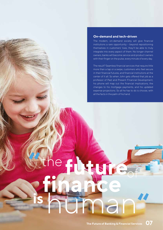### **On-demand and tech-driven**

The modern, on-demand society will give financial institutions a rare opportunity – beyond repositioning themselves in customers' lives, they'll be able to truly integrate into every aspect of them. No longer channel owners, banks will become service and product owners with their finger on the pulse, every minute of every day.

The result? Seamless financial services that require little more than a tap or a swipe, customers who feel secure in their financial futures, and financial institutions at the center of it all. So when John gets offered that job as a professor of Past and Present Financial Development, his phone will map out the financial implications, the changes to his mortgage payments, and his updated expense projections. So all he has to do is choose, with all the facts in the palm of his hand.

**future**

**finance** 

e c

**is**

**"**

Ma



**"**

of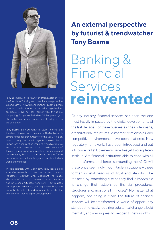

Tony Bosma (1973) is a futurist and trendwatcher. He is the founder of futuring and consultancy organization Extend Limits (www.extendlimits.nl). Extend Limits does not predict the future but helps organizations anticipate it. Do not ask yourself why things are happening. Ask yourself why hasn't it happened yet? This is the mindset companies need to adopt in this era of change.

Tony Bosma is an authority in future thinking and trendwatching and was nominated in The Netherlands several times for trendwatcher of the year. He is an internationally renowned keynote speaker. He is known for his confronting, inspiring, visually attractive and surprising sessions about a wide variety of topics. He also works for a variety of companies and governments, helping them anticipate the future and, more important, challenge and question today's world and mindset.

In collaboration with Cognizant, Tony Bosma did extensive research into near future trends across industries. Together with Cognizant, he made abstracts of the most dominant developments not far fetched futuristic worldviews - but realistic developments which are seen right now. These are not only plausible future developments but also the challenges of technological developments.

## **An external perspective by futurist & trendwatcher Tony Bosma**

# Banking & Financial Services **reinvented**

Of any industry, financial services has been the one most heavily impacted by the digital developments of the last decade. For these businesses, their role, image, organizational structures, customer relationships and competitive environments have been shattered. New regulatory frameworks have been introduced and put into place. But still, the new normal has yet to completely settle in. Are financial institutions able to cope with all the transformational forces surrounding them? Or will these once seemingly indomitable institutions – these former societal beacons of trust and stability – be replaced by something else as they find it impossible to change their established financial procedures, structures and, most of all, mindsets? No matter what happens, one thing is clear: The future of financial services will be transformed. A world of opportunity stands at the ready, requiring substantial change, a bold mentality and a willingness to be open to new insights.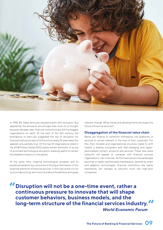

In 1994, Bill Gates famously equated banks with dinosaurs. But apparently, the dinosaurs are stronger than most of us thought because decades later, financial institutions are still the biggest organizations on earth. At the start of the 21st century, the emergence of start-ups suggested the era of disruption for financial institutions was in full force, but nearly 20 years later, this appears only partially true. Of the top 10 organizations listed in the 2018 Forbes Global 2000, banks remain dominant. In an era of promised technological disruption, banking seems to remain the steadiest industry on the planet.

At the same time, ongoing technological progress and its perpetual adoption by consumers is forcing a reformation of the essential elements of financial services. In this new world, it's not so much about long-term vision but about the ability to anticipate

relevant change. What trends and developments will shape the future of financial services?

### **Disaggregation of the financial value chain**

Banks are looking to transform themselves into platforms of services to remain relevant in the lives of their customers. For this, their mindset and organizational structure needs to shift toward a diverse ecosystem with fast-changing and hyperpersonalized contact, products and services. These new value networks will appear to compete with financial services organizations' own channels. As the financial services landscape becomes a highly sophisticated marketplace, steered by smart and adaptive technologies, financial institutions like banks themselves will reshape to become more like high-tech companies.

**Disruption will not be a one-time event, rather a continuous pressure to innovate that will shape customer behaviors, business models, and the long-term structure of the financial services industry. " "** *World Economic Forum*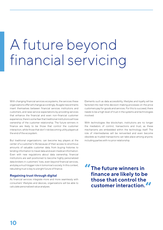# A future beyond financial servicing

With changing financial services ecosystems, the services these organizations offer will change accordingly. As agile new entrants insert themselves between financial services institutions and customers, and raise service expectations by providing services that enhance the financial and even non-financial customer experience, there's some fear that traditional institutions will lose ownership of the customer relationship. The future winners in finance are likely to be those that control the customer interaction, while those that don't risk becoming utility players at the end of the ecosystem.

But traditional organizations. can become key players at the center of a customer's life because of their access to enormous amounts of valuable customer data, from buying histories to lending information to travel data and even medical information. Even with new regulations about data ownership, financial institutions are well positioned to become highly personalized data brokers in customers' lives, even beyond financial services, and play a much bigger role in tomorrow's society. In this context, rebuilding trust is key to a bright future of finance.

### **Regaining trust through digital**

As financial services integrate more and more seamlessly with consumers' lifestyles and devices, organizations will be able to calculate personalized value analyses.

Elements such as data accessibility, lifestyles and loyalty will be factored into real-time decision-making processes on the price customers pay for goods and services. For this to succeed, there needs to be a high level of trust in the systems and technologies involved.

With technologies like blockchain, institutions are no longer the mediators of control, transactions and trust, as these mechanisms are embedded within the technology itself. The role of intermediaries will be reinvented and even become obsolete as trusted transactions can take place among anyone, including parties with no prior relationship.

**The future winners in finance are likely to be those that control the customer interaction. " "**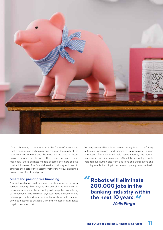

It's vital, however, to remember that the future of finance and trust hinges less on technology and more on the reality of the regulatory environment and the mechanisms used in future business models of finance. The more transparent and meaningful these business models become, the more societal trust will increase. The financial services industry will need to embrace the goals of the customer rather than focus on being a powerhouse of profit and growth.

### **Smart and prescriptive financing**

Artificial intelligence will become mainstream in the financial services industry. Even beyond the use of AI to enhance the customer experience, the technology will be applied to analyzing customer behavior to minimize risk, detect fraud and recommend relevant products and services. Continuously fed with data, AIpowered bots will be available 24x7 and increase in intelligence to gain consumer trust.

With AI, banks will be able to more accurately forecast the future, automate processes and minimize unnecessary human interaction. Technology will help banks intensify the human relationship with its customers. Ultimately, technology could help remove human bias from decisions and transactions and possibly enable financing to become completely democratized.

**Robots will eliminate 200,000 jobs in the banking industry within the next 10 years. " "** *Wells Fargo*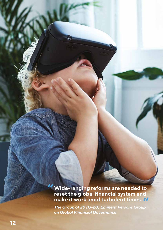**" Wide-ranging reforms are needed to reset the global financial system and make it work amid turbulent times. "**

 $\widehat{\sigma}$ 

**۰** 

*The Group of 20 (G-20) Eminent Persons Group on Global Financial Governance*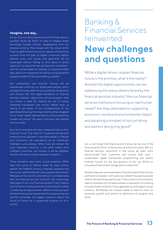### **Imagine, one day…**

Let go of your mental barriers and think freely about a possible future. By 2050, it's easy to imagine banks becoming invisible entities, disappearing from our physical world as they merge with the virtual world. Finance itself will become virtual –wallets will become a souvenir from the past as digital currencies replace physical ones, and money and payments will be exchanged without having to think about it. Every aspect of our personal lives will become monetized – we'll be compensated for sharing our personal health data, given a micropayment for doing a social good and assigned a debit for doing something unlawful.

Our preferences and financial choices will be represented online by our digital personalities, which will algorithmically determine our personal transactions and interact with the digital backbone of financial services networks. Algorithms will pre-program what our money is used for, making the use of money extremely transparent and secure. Rather than us having to be aware of the consequences of our spending and saving, that responsibility will be relegated to our smart digital representations, whose predictive models will predict the exact outcomes and optimal actions to take.

As a result, everyone will have a balanced look at their financial future. The need for insurance will become predictive and adjusted in real-time based on lifestyle and continuous risk calculations by an individual's intelligent surroundings. While trust will remain the most important currency, it will come mainly from intelligent machines, not humans: It will be digitized. Human intervention will be required if asked for.

These scenarios raise some crucial questions: What does the future of finance mean for basic human aspects like freedom, privacy, inequality, solidarity and the human relationship with value systems like money? What about the role of human ethics in our relationship with the financial services industry? Can technology help regain trust in our financial systems? Can it help us use money for social good and connect people instead of widening the gap between different social groups? Amid technological progress and the changing financial services landscape, the biggest questions about the future of finance lie in supporting progress for all in society.

## Banking & Financial Services reinvented **New challenges and questions**

While a digital-driven utopian financial future is the promise, what is the reality? Amid all the digital opportunities, are we addressing the real problems faced by the financial services industry? Are our financial services institutions focusing on real human needs? Are they dedicated to supporting economic, social and environmental impact and adopting a mindset of not just doing less bad but doing only good?

Let us not forget that financing and money can be one of the most powerful forms of democracy and force for good. Will our financial services institutions in the future be even more disconnected from customers and society than ever – unreachable digital monopolies programming the world's financial future? It's the big question of this era: Ethics or innovative financial technology, which comes first?

People today are more aware about how they spend their money and how it is invested – with every euro/dollar they spend, people vote for the world they want to see. Financial services institutions need to embrace this mindset and earn a reputation for working to build a better world for future generations and support social cohesion. Worldwide, the industry needs to reset its vision on economic growth and rethink its definitions of progress and value.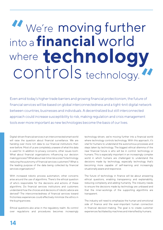## **" "** We're moving further **technology** into a **financial** world where controls technology.

Even amid today's higher trade barriers and growing financial protectionism, the future of financial services will be based on global interconnectedness and a tight-knit digital network between countries, businesses and individuals. A decentralized but still interconnected approach could increase susceptibility to risk, making regulation and crisis management tools ever more important as new technologies become the basis of our lives.

Digital-driven financial services in an interconnected smart world will raise the question about financial surveillance. We are handing over more rich data to our financial institutions then ever before. Most of us are completely unaware of what this data is used for. In addition to privacy concerns, other issues loom: What about financial organizations influencing our decision making process? What about real-time risk scores? Is technology reducing the autonomy of financial services customers? What is the leading purpose of the data being collected by financial services organizations?

With increased robotic process automation, other concerns arise around the use of algorithms. There's the ethical question of who's responsible for the decisions and actions of these algorithms. Do financial services institutions and customers understand how the choices and decisions of robotic advice are derived? The interconnectedness of financial services toward frictionless experiences could effectively minimize the ethics in the buying process.

Ethical questions also arise in the regulatory realm. As control over regulations and procedures becomes increasingly technology-driven, we're moving further into a financial world where technology controls technology. With this approach, it's vital for humans to understand the autonomous processes and steps taken by technology. The biggest ethical dilemma of the near financial future is who will be in control: technology or humans. This is especially important in an increasingly complex world in which humans are challenged to understand the decisions made by technology, especially technology that's becoming more capable of self-learning and increasingly situationally aware and responsive.

The future of technology in finance will be about answering ethical questions, enabling transparency and explainability, reducing complexity and adding humanity. The industry needs to ensure the decisions made by technology are unbiased and that the inner-workings of the supporting algorithms are transparent.

The industry will need to emphasize the human and emotional side of finance and the ever-important human connection in financial decision-making. The goal is to create customer experiences facilitated by machines and intensified by humans.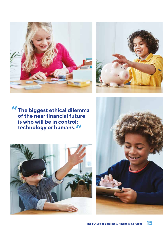



**The biggest ethical dilemma A** The biggest ethical dilemm<br>of the near financial future **is who will be in control: technology or humans. "**



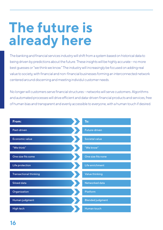# **The future is already here**

The banking and financial services industry will shift from a system based on historical data to being driven by predictions about the future. These insights will be highly accurate – no more best guesses or "we think we know." The industry will increasingly be focused on adding real value to society, with financial and non-financial businesses forming an interconnected network centered around discerning and meeting individul customer needs.

No longer will customers serve financial structures – networks will serve customers. Algorithms and automated processes will drive efficient and data-driven financial products and services, free of human bias and transparent and evenly accessible to everyone, with a human touch if desired.

| From:                         | To:                     |
|-------------------------------|-------------------------|
| Past-driven                   | Future-driven           |
| Economic value                | Societal value          |
| "We think"                    | "We know"               |
| One size fits some            | One size fits none      |
| Life protection               | Life enrichment         |
| <b>Transactional thinking</b> | Value thinking          |
| <b>Siloed data</b>            | Networked data          |
| Organization                  | Platform                |
| Human judgment                | <b>Blended judgment</b> |
| High tech                     | Human touch             |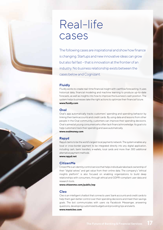## Real-life cases

The following cases are inspirational and show how finance is changing. Startups and new innovative ideas can grow but also fail fast – that is innovation at the frontier of an industry. No business relationship exists between the cases below and Cognizant.

### **Fluidly**

Fluidly works to create real-time financial insight with cashflow forecasting. It uses historical data, financial modeling and machine learning to produce up-to-date forecasts, as well as insights into how to improve the business's cash position. The system helps businesses take the right actions to optimize their financial future. **www.fluidly.com**

### **Oval**

Oval's app automatically tracks customers' spending and spending behavior by linking their bank accounts and credit cards. By using data and lessons from other people in the Oval community, customers can improve their spending decisions. Oval is aimed at young consumers who often lack financial knowledge. Its goal is to help customers track their spending and save automatically. **www.ovalmoney.com**

### **Rapyd**

Rapyd claims to be the world's largest local payments network. The system enables any local or cross-border payment to be integrated directly into any digital application, including cash, bank transfers, e-wallets, local cards and more than 300 additional alternative payment methods.

**www.rapyd.net**

### **CitizenMe**

CitizenMe is an identity control service that helps individuals take back ownership of their "digital selves" and get value from their online data. The company's "ethical insights platform" is also focused on enabling organizations to build deep relationships with consumers, through ethical and GDPR-compliant user data and research tools.

**www.citizenme.com/public/wp**

### **Cleo**

Cleo is an intelligent chatbot that connects users' bank accounts and credit cards to help them gain better control over their spending decisions and meet their savings goals. The bot communicates with users via Facebook Messenger, answering questions, developing customized budgets and providing tips and alerts. **www.meetcleo.com**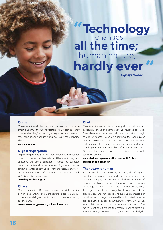## **Technology** human nature, **all the time;** changes hardly ever **"**

*Evgeny Morozov*

### **Curve**

Curve combines all of a user's accounts and cards into one smart platform – the Curve Mastercard. By doing so, they can see what they're spending at a glance, save on excess fees, send money securely and get real-time spending alerts.

**www.curve.app**

### **Digital fingerprints**

Digital Fingerprints provides continuous authentication based on behavioral biometrics. After monitoring and capturing the user's behavior, it stores the collected behavioral patterns in a machine learning model that can almost instantaneously judge whether present behavior is consistent with the user's identity, all in compliance with GDPR and PS2 regulations.

#### **www.fingerprints.digital**

### **Chase**

Chase uses voice ID to protect customer data, making banking easier, faster and more secure. To create a unique voiceprint enabling account access, customers can simply call the bank.

**www.chase.com/personal/voice-biometrics**

### **Clark**

Clark is an insurance robo-advisory platform that provides transparent, cheap and comprehensive insurance coverage. Clark allows users to assess their insurance status through an app or website. Based on algorithms, the robo-advisor provides analysis on the customers' insurance situation and automatically proposes optimization opportunities by searching for tariffs from more than 160 insurance companies. On request, experts are available to assist customers with specific questions.

**www.clark.com/personal-finance-credit/roboadvisor-fees-cheapest/**

### **The future is human**

Humans excel at being creative, in seeing, identifying and investing in opportunities, and solving problems. Our emotions - anger, sadness, love - will drive the future of banking and financial services. Even as technology grows in intelligence, it will never match our human creativity. The biggest benefit technology has to offer us and our organizations and institutions is to help us emphasize our most basic and strongest human skills – skills that will never be digitized. Let's be curious about the future, not fearful. Let us, as a society, create and discover new rules and norms. The future is not about making the present more efficient but about reshaping it – something only humans can, and will, do.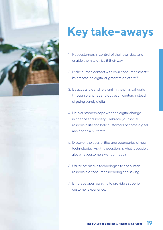



2. Make human contact with your consumer smarter by embracing digital augmentation of staff.

**Key take-aways** 

- 3. Be accessible and relevant in the physical world through branches and outreach centers instead of going purely digital.
- 4. Help customers cope with the digital change in finance and society. Embrace your social responsibility and help customers become digital and financially literate.
- 5. Discover the possibilities and boundaries of new technologies. Ask the question: Is what is possible also what customers want or need?
- 6. Utilize predictive technologies to encourage responsible consumer spending and saving.
- 7. Embrace open banking to provide a superior customer experience.